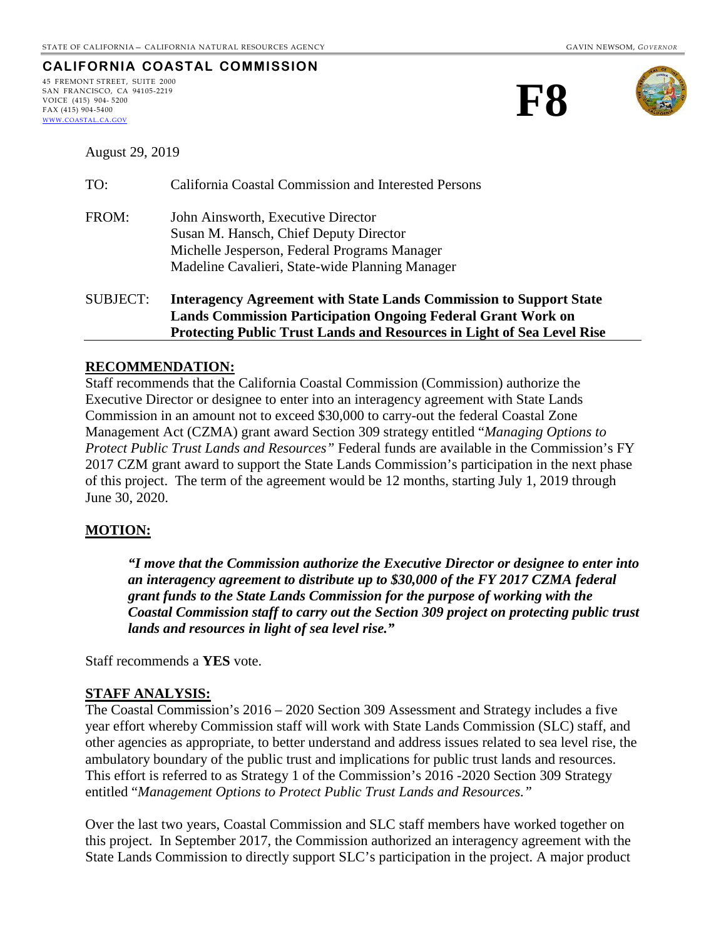## **CALIFORNIA COASTAL COMMISSION**

45 FREMONT STREET, SUITE 2000 SAN FRANCISCO, CA 94105-2219 VOICE (415) 904- 5200 FAX (415) 904-5400 [WWW.COASTAL.CA.GOV](http://www.coastal.ca.gov/)





August 29, 2019

| <b>SUBJECT:</b> | <b>Interagency Agreement with State Lands Commission to Support State</b><br><b>Lands Commission Participation Ongoing Federal Grant Work on</b><br><b>Protecting Public Trust Lands and Resources in Light of Sea Level Rise</b> |
|-----------------|-----------------------------------------------------------------------------------------------------------------------------------------------------------------------------------------------------------------------------------|
| FROM:           | John Ainsworth, Executive Director<br>Susan M. Hansch, Chief Deputy Director<br>Michelle Jesperson, Federal Programs Manager<br>Madeline Cavalieri, State-wide Planning Manager                                                   |
| TO:             | California Coastal Commission and Interested Persons                                                                                                                                                                              |

## **RECOMMENDATION:**

Staff recommends that the California Coastal Commission (Commission) authorize the Executive Director or designee to enter into an interagency agreement with State Lands Commission in an amount not to exceed \$30,000 to carry-out the federal Coastal Zone Management Act (CZMA) grant award Section 309 strategy entitled "*Managing Options to Protect Public Trust Lands and Resources"* Federal funds are available in the Commission's FY 2017 CZM grant award to support the State Lands Commission's participation in the next phase of this project. The term of the agreement would be 12 months, starting July 1, 2019 through June 30, 2020.

## **MOTION:**

*"I move that the Commission authorize the Executive Director or designee to enter into an interagency agreement to distribute up to \$30,000 of the FY 2017 CZMA federal grant funds to the State Lands Commission for the purpose of working with the Coastal Commission staff to carry out the Section 309 project on protecting public trust lands and resources in light of sea level rise."* 

Staff recommends a **YES** vote.

## **STAFF ANALYSIS:**

The Coastal Commission's 2016 – 2020 Section 309 Assessment and Strategy includes a five year effort whereby Commission staff will work with State Lands Commission (SLC) staff, and other agencies as appropriate, to better understand and address issues related to sea level rise, the ambulatory boundary of the public trust and implications for public trust lands and resources. This effort is referred to as Strategy 1 of the Commission's 2016 -2020 Section 309 Strategy entitled "*Management Options to Protect Public Trust Lands and Resources."*

Over the last two years, Coastal Commission and SLC staff members have worked together on this project. In September 2017, the Commission authorized an interagency agreement with the State Lands Commission to directly support SLC's participation in the project. A major product